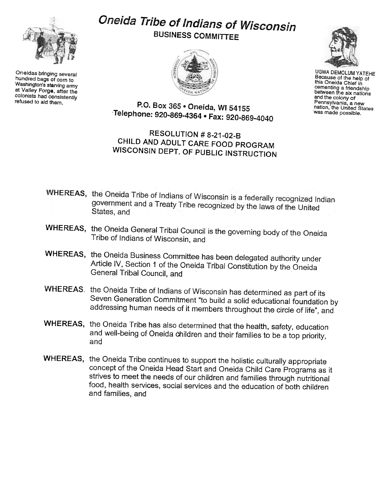

Oneidas bringing several hundred bags of corn to Washington's starving army at Valley Forge. after the colonists had consistently<br>refused to aid them.

## Oneida Tribe of Indians of Wisconsin BUSINESS COMMITTEE





UGWA DEMOLUM YATEHE Because of the help of this Oneida Chief in cementing a friendship between the six nations and the colony of Pennsylvania, a new nation, the United States was made possible.

P.O. Box 365 . Oneida, WI 54155 Telephone: 920-869-4364 · Fax: 920-869-4040

## RESOLUTION # 8-21-02-B CHILD AND ADULT CARE FOOD PROGRAM WISCONSIN DEPT. OF PUBLIC INSTRUCTION

- WHEREAS, the Oneida Tribe of Indians of Wisconsin is a federally recognized Indian government and a Treaty Tribe recognized by the laws of the United<br>States, and States, and
- WHEREAS, the Oneida General Tribal Council is the governing body of the Oneida Tribe of Indians of Wisconsin, and
- WHEREAS, the Oneida Business Committee has been delegated authority under Article IV, Section 1 of the Oneida Tribal Constitution by the Oneida General Tribal Council, and
- VVHEREAS, the Oneida Tribe of Indians of Wisconsin has determined as part of its Seven Generation Commitment "to build a solid educational foundation by addressing human needs of it members throughout the circle of life", and
- WHEREAS, the Oneida Tribe has also determined that the health, safety, education and well-being of Oneida children and their families to be a top priority, and
- WHEREAS, the Oneida Tribe continues to support the holistic culturally appropriate concept of the Oneida Head Start and Oneida Child Care Programs as it strives to meet the needs of our children and families through nutritional food, health services, social services and the education of both children and families, and